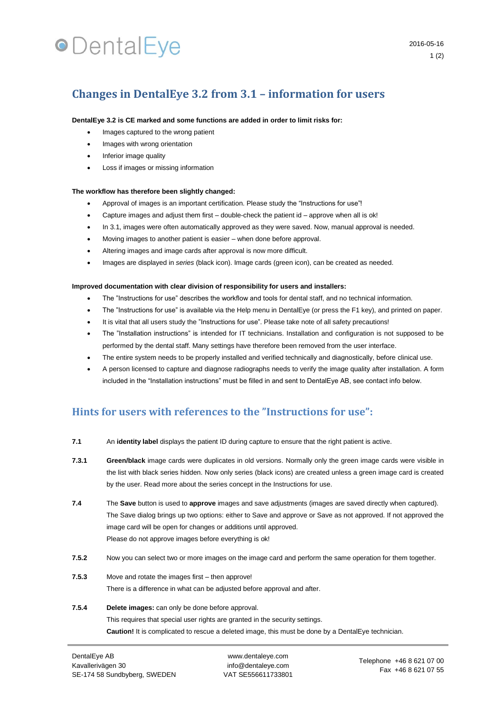# **•**DentalEye

## **Changes in DentalEye 3.2 from 3.1 – information for users**

## **DentalEye 3.2 is CE marked and some functions are added in order to limit risks for:**

- Images captured to the wrong patient
- Images with wrong orientation
- Inferior image quality
- Loss if images or missing information

#### **The workflow has therefore been slightly changed:**

- Approval of images is an important certification. Please study the "Instructions for use"!
- Capture images and adjust them first double-check the patient id approve when all is ok!
- In 3.1, images were often automatically approved as they were saved. Now, manual approval is needed.
- Moving images to another patient is easier when done before approval.
- Altering images and image cards after approval is now more difficult.
- Images are displayed in *series* (black icon). Image cards (green icon), can be created as needed.

#### **Improved documentation with clear division of responsibility for users and installers:**

- The "Instructions for use" describes the workflow and tools for dental staff, and no technical information.
- The "Instructions for use" is available via the Help menu in DentalEye (or press the F1 key), and printed on paper.
- It is vital that all users study the "Instructions for use". Please take note of all safety precautions!
- The "Installation instructions" is intended for IT technicians. Installation and configuration is not supposed to be performed by the dental staff. Many settings have therefore been removed from the user interface.
- The entire system needs to be properly installed and verified technically and diagnostically, before clinical use.
- A person licensed to capture and diagnose radiographs needs to verify the image quality after installation. A form included in the "Installation instructions" must be filled in and sent to DentalEye AB, see contact info below.

## **Hints for users with references to the "Instructions for use":**

- **7.1** An **identity label** displays the patient ID during capture to ensure that the right patient is active.
- **7.3.1 Green/black** image cards were duplicates in old versions. Normally only the green image cards were visible in the list with black series hidden. Now only series (black icons) are created unless a green image card is created by the user. Read more about the series concept in the Instructions for use.
- **7.4** The **Save** button is used to **approve** images and save adjustments (images are saved directly when captured). The Save dialog brings up two options: either to Save and approve or Save as not approved. If not approved the image card will be open for changes or additions until approved. Please do not approve images before everything is ok!
- **7.5.2** Now you can select two or more images on the image card and perform the same operation for them together.
- **7.5.3** Move and rotate the images first then approve! There is a difference in what can be adjusted before approval and after.

## **7.5.4 Delete images:** can only be done before approval. This requires that special user rights are granted in the security settings. **Caution!** It is complicated to rescue a deleted image, this must be done by a DentalEye technician.

www.dentaleye.com info@dentaleye.com VAT SE556611733801